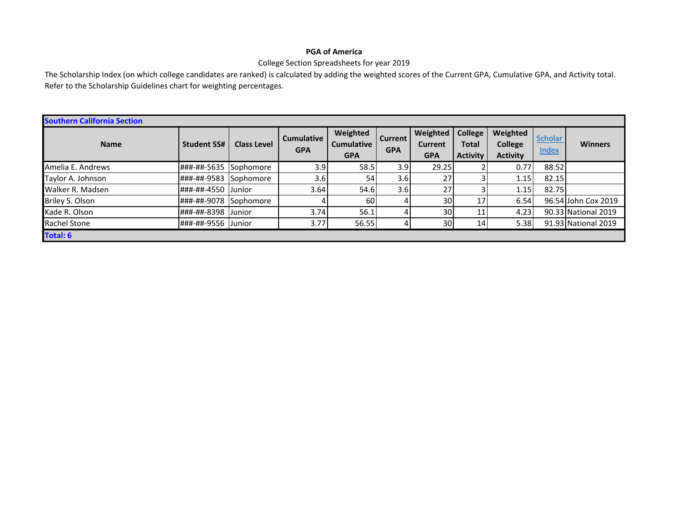## **PGA of America**

## College Section Spreadsheets for year 2019

The Scholarship Index (on which college candidates are ranked) is calculated by adding the weighted scores of the Current GPA, Cumulative GPA, and Activity total. Refer to the Scholarship Guidelines chart for weighting percentages.

| <b>Southern California Section</b> |                    |                    |                                 |                                             |                              |                                          |                                                   |                                               |                         |                     |
|------------------------------------|--------------------|--------------------|---------------------------------|---------------------------------------------|------------------------------|------------------------------------------|---------------------------------------------------|-----------------------------------------------|-------------------------|---------------------|
| <b>Name</b>                        | <b>Student SS#</b> | <b>Class Level</b> | <b>Cumulative</b><br><b>GPA</b> | Weighted<br><b>Cumulative</b><br><b>GPA</b> | <b>Current</b><br><b>GPA</b> | Weighted<br><b>Current</b><br><b>GPA</b> | <b>College</b><br><b>Total</b><br><b>Activity</b> | Weighted<br><b>College</b><br><b>Activity</b> | <b>Scholar</b><br>Index | <b>Winners</b>      |
| Amelia E. Andrews                  | ###-##-5635        | <b>Sophomore</b>   | 3.9                             | 58.5                                        | 3.9                          | 29.25                                    |                                                   | 0.77                                          | 88.52                   |                     |
| Taylor A. Johnson                  | ###-##-9583        | <b>Sophomore</b>   | 3.6                             | 54                                          | 3.6                          | 27                                       |                                                   | 1.15                                          | 82.15                   |                     |
| Walker R. Madsen                   | ###-##-4550        | <b>Junior</b>      | 3.64                            | 54.6                                        | 3.6                          | 27                                       |                                                   | 1.15                                          | 82.75                   |                     |
| Briley S. Olson                    | ###-##-9078        | Sophomore          |                                 | 60                                          |                              | 30 <sup>1</sup>                          | 17                                                | 6.54                                          |                         | 96.54 John Cox 2019 |
| Kade R. Olson                      | ###-##-8398        | <b>Junior</b>      | 3.74                            | 56.1                                        |                              | 30                                       | 11                                                | 4.23                                          |                         | 90.33 National 2019 |
| <b>Rachel Stone</b>                | ###-##-9556 Junior |                    | 3.77                            | 56.55                                       |                              | 30 <sup>1</sup>                          | 14                                                | 5.38                                          |                         | 91.93 National 2019 |
| <b>Total: 6</b>                    |                    |                    |                                 |                                             |                              |                                          |                                                   |                                               |                         |                     |